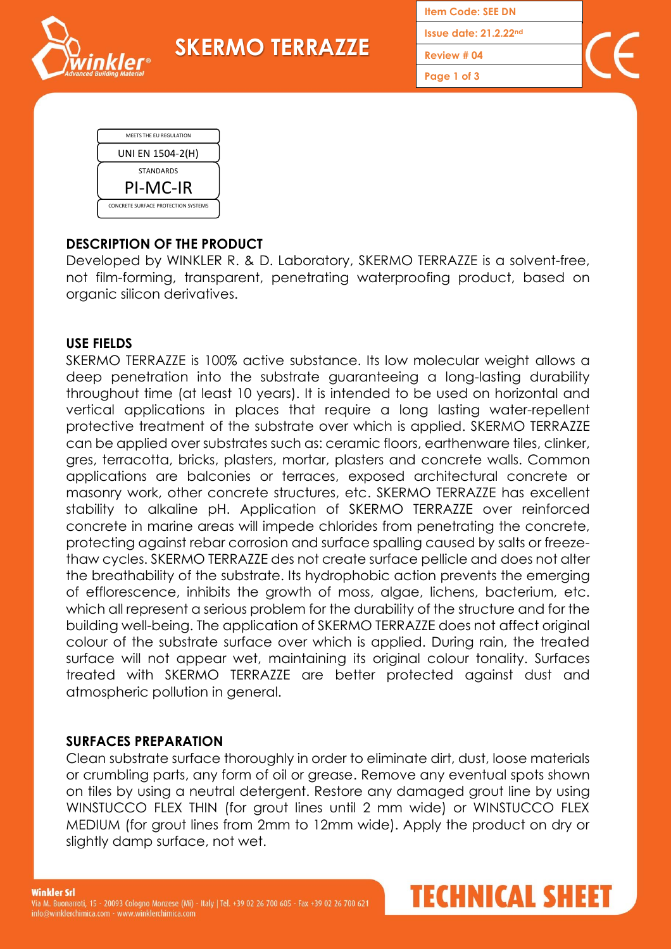**SKERMO TERRAZZE**

**Item Code: SEE DN Issue date: 21.2.22 nd**

**Review # 04**

**Page 1 of 3**



**inkler**®

# **DESCRIPTION OF THE PRODUCT**

Developed by WINKLER R. & D. Laboratory, SKERMO TERRAZZE is a solvent-free, not film-forming, transparent, penetrating waterproofing product, based on organic silicon derivatives.

#### **USE FIELDS**

SKERMO TERRAZZE is 100% active substance. Its low molecular weight allows a deep penetration into the substrate guaranteeing a long-lasting durability throughout time (at least 10 years). It is intended to be used on horizontal and vertical applications in places that require a long lasting water-repellent protective treatment of the substrate over which is applied. SKERMO TERRAZZE can be applied over substrates such as: ceramic floors, earthenware tiles, clinker, gres, terracotta, bricks, plasters, mortar, plasters and concrete walls. Common applications are balconies or terraces, exposed architectural concrete or masonry work, other concrete structures, etc. SKERMO TERRAZZE has excellent stability to alkaline pH. Application of SKERMO TERRAZZE over reinforced concrete in marine areas will impede chlorides from penetrating the concrete, protecting against rebar corrosion and surface spalling caused by salts or freezethaw cycles. SKERMO TERRAZZE des not create surface pellicle and does not alter the breathability of the substrate. Its hydrophobic action prevents the emerging of efflorescence, inhibits the growth of moss, algae, lichens, bacterium, etc. which all represent a serious problem for the durability of the structure and for the building well-being. The application of SKERMO TERRAZZE does not affect original colour of the substrate surface over which is applied. During rain, the treated surface will not appear wet, maintaining its original colour tonality. Surfaces treated with SKERMO TERRAZZE are better protected against dust and atmospheric pollution in general.

## **SURFACES PREPARATION**

Clean substrate surface thoroughly in order to eliminate dirt, dust, loose materials or crumbling parts, any form of oil or grease. Remove any eventual spots shown on tiles by using a neutral detergent. Restore any damaged grout line by using WINSTUCCO FLEX THIN (for grout lines until 2 mm wide) or WINSTUCCO FLEX MEDIUM (for grout lines from 2mm to 12mm wide). Apply the product on dry or slightly damp surface, not wet.

TECHNICAL SHEET

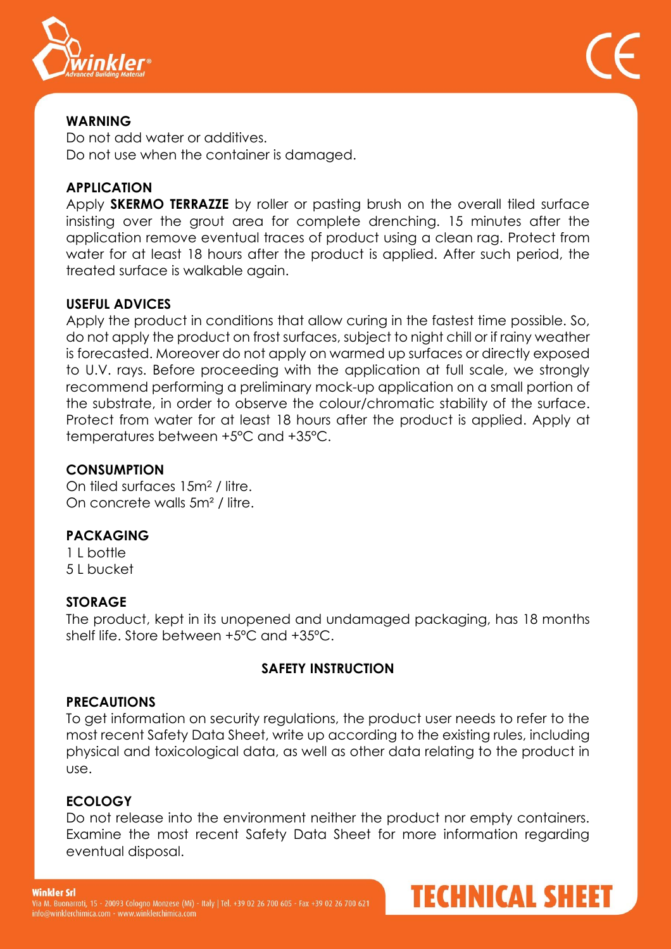

# **WARNING**

Do not add water or additives. Do not use when the container is damaged.

# **APPLICATION**

Apply **SKERMO TERRAZZE** by roller or pasting brush on the overall tiled surface insisting over the grout area for complete drenching. 15 minutes after the application remove eventual traces of product using a clean rag. Protect from water for at least 18 hours after the product is applied. After such period, the treated surface is walkable again.

## **USEFUL ADVICES**

Apply the product in conditions that allow curing in the fastest time possible. So, do not apply the product on frost surfaces, subject to night chill or if rainy weather is forecasted. Moreover do not apply on warmed up surfaces or directly exposed to U.V. rays. Before proceeding with the application at full scale, we strongly recommend performing a preliminary mock-up application on a small portion of the substrate, in order to observe the colour/chromatic stability of the surface. Protect from water for at least 18 hours after the product is applied. Apply at temperatures between +5°C and +35°C.

# **CONSUMPTION**

On tiled surfaces 15m<sup>2</sup> / litre. On concrete walls 5m² / litre.

# **PACKAGING**

1 L bottle 5 L bucket

## **STORAGE**

The product, kept in its unopened and undamaged packaging, has 18 months shelf life. Store between +5ºC and +35ºC.

## **SAFETY INSTRUCTION**

## **PRECAUTIONS**

To get information on security regulations, the product user needs to refer to the most recent Safety Data Sheet, write up according to the existing rules, including physical and toxicological data, as well as other data relating to the product in use.

## **ECOLOGY**

Do not release into the environment neither the product nor empty containers. Examine the most recent Safety Data Sheet for more information regarding eventual disposal.